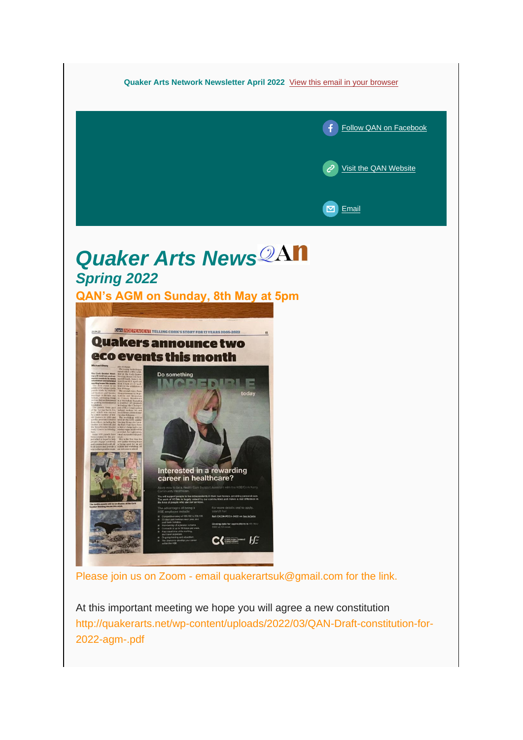

At this important meeting we hope you will agree a new constitution http://quakerarts.net/wp-content/uploads/2022/03/QAN-Draft-constitution-for-2022-agm-.pdf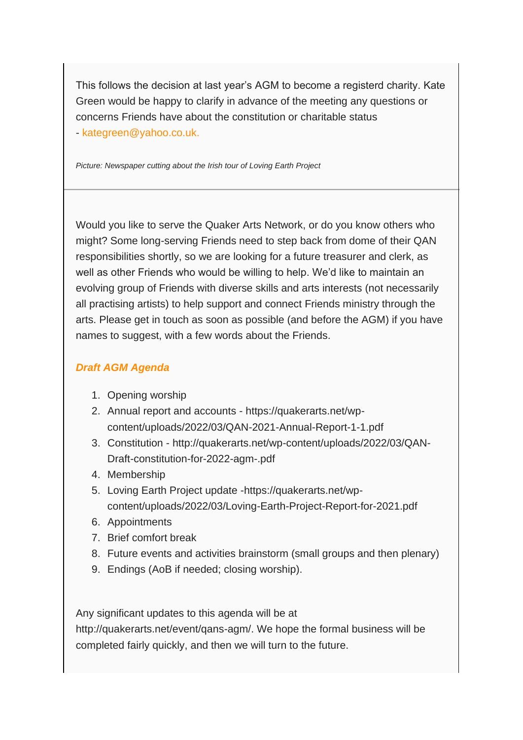This follows the decision at last year's AGM to become a registerd charity. Kate Green would be happy to clarify in advance of the meeting any questions or concerns Friends have about the constitution or charitable status - kategreen@yahoo.co.uk.

*Picture: Newspaper cutting about the Irish tour of Loving Earth Project*

Would you like to serve the Quaker Arts Network, or do you know others who might? Some long-serving Friends need to step back from dome of their QAN responsibilities shortly, so we are looking for a future treasurer and clerk, as well as other Friends who would be willing to help. We'd like to maintain an evolving group of Friends with diverse skills and arts interests (not necessarily all practising artists) to help support and connect Friends ministry through the arts. Please get in touch as soon as possible (and before the AGM) if you have names to suggest, with a few words about the Friends.

#### *Draft AGM Agenda*

- 1. Opening worship
- 2. Annual report and accounts https://quakerarts.net/wpcontent/uploads/2022/03/QAN-2021-Annual-Report-1-1.pdf
- 3. Constitution http://quakerarts.net/wp-content/uploads/2022/03/QAN-Draft-constitution-for-2022-agm-.pdf
- 4. Membership
- 5. Loving Earth Project update -https://quakerarts.net/wpcontent/uploads/2022/03/Loving-Earth-Project-Report-for-2021.pdf
- 6. Appointments
- 7. Brief comfort break
- 8. Future events and activities brainstorm (small groups and then plenary)
- 9. Endings (AoB if needed; closing worship).

Any significant updates to this agenda will be at

http://quakerarts.net/event/qans-agm/. We hope the formal business will be completed fairly quickly, and then we will turn to the future.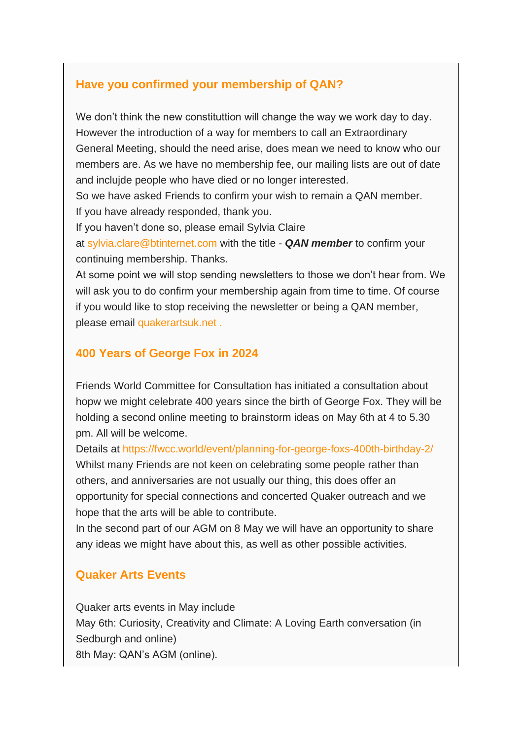## **Have you confirmed your membership of QAN?**

We don't think the new constituttion will change the way we work day to day. However the introduction of a way for members to call an Extraordinary General Meeting, should the need arise, does mean we need to know who our members are. As we have no membership fee, our mailing lists are out of date and inclujde people who have died or no longer interested.

So we have asked Friends to confirm your wish to remain a QAN member. If you have already responded, thank you.

If you haven't done so, please email Sylvia Claire

at sylvia.clare@btinternet.com with the title - *QAN member* to confirm your continuing membership. Thanks.

At some point we will stop sending newsletters to those we don't hear from. We will ask you to do confirm your membership again from time to time. Of course if you would like to stop receiving the newsletter or being a QAN member, please email quakerartsuk.net .

# **400 Years of George Fox in 2024**

Friends World Committee for Consultation has initiated a consultation about hopw we might celebrate 400 years since the birth of George Fox. They will be holding a second online meeting to brainstorm ideas on May 6th at 4 to 5.30 pm. All will be welcome.

Details at https://fwcc.world/event/planning-for-george-foxs-400th-birthday-2/ Whilst many Friends are not keen on celebrating some people rather than others, and anniversaries are not usually our thing, this does offer an opportunity for special connections and concerted Quaker outreach and we hope that the arts will be able to contribute.

In the second part of our AGM on 8 May we will have an opportunity to share any ideas we might have about this, as well as other possible activities.

## **Quaker Arts Events**

Quaker arts events in May include May 6th: Curiosity, Creativity and Climate: A Loving Earth conversation (in Sedburgh and online) 8th May: QAN's AGM (online).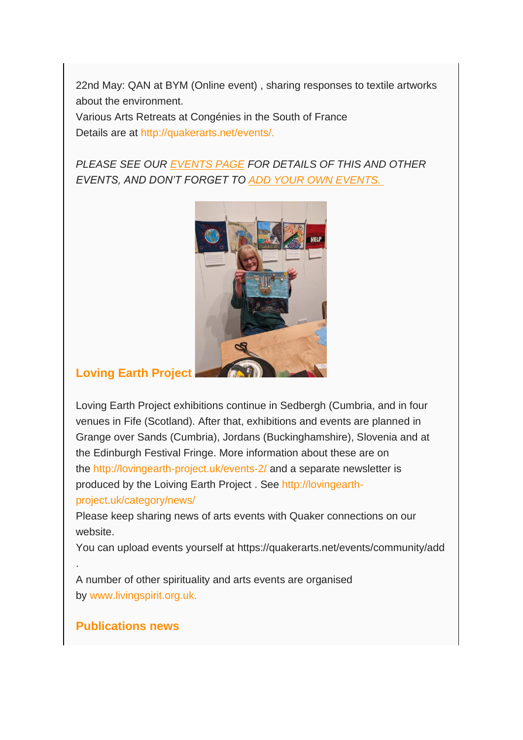22nd May: QAN at BYM (Online event) , sharing responses to textile artworks about the environment.

Various Arts Retreats at Congénies in the South of France Details are at http://quakerarts.net/events/.

*PLEASE SEE OUR [EVENTS PAGE](http://quakerarts.net/events/) FOR DETAILS OF THIS AND OTHER EVENTS, AND DON'T FORGET TO [ADD YOUR OWN EVENTS.](http://quakerarts.net/events/community/add)*



## **Loving Earth Project**

Loving Earth Project exhibitions continue in Sedbergh (Cumbria, and in four venues in Fife (Scotland). After that, exhibitions and events are planned in Grange over Sands (Cumbria), Jordans (Buckinghamshire), Slovenia and at the Edinburgh Festival Fringe. More information about these are on the http://lovingearth-project.uk/events-2/ and a separate newsletter is produced by the Loiving Earth Project . See http://lovingearthproject.uk/category/news/

Please keep sharing news of arts events with Quaker connections on our website.

You can upload events yourself at https://quakerarts.net/events/community/add

A number of other spirituality and arts events are organised by www.livingspirit.org.uk.

## **Publications news**

.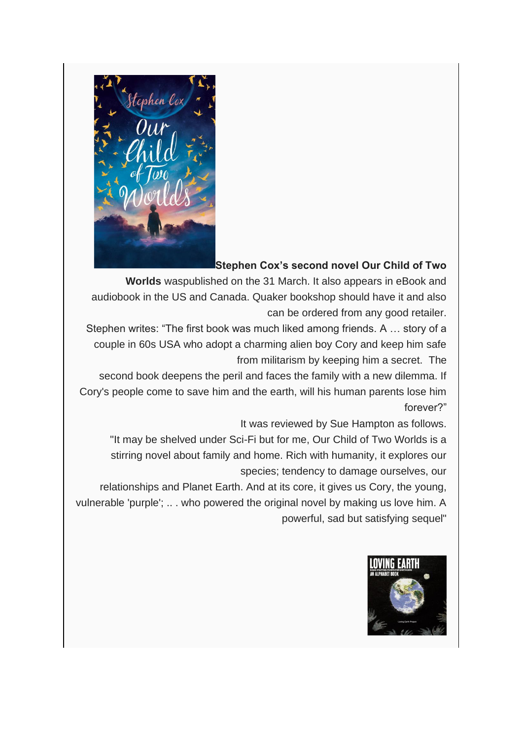

#### **Stephen Cox's second novel Our Child of Two**

**Worlds** waspublished on the 31 March. It also appears in eBook and audiobook in the US and Canada. Quaker bookshop should have it and also can be ordered from any good retailer.

Stephen writes: "The first book was much liked among friends. A … story of a couple in 60s USA who adopt a charming alien boy Cory and keep him safe from militarism by keeping him a secret. The

second book deepens the peril and faces the family with a new dilemma. If Cory's people come to save him and the earth, will his human parents lose him forever?"

It was reviewed by Sue Hampton as follows.

"It may be shelved under Sci-Fi but for me, Our Child of Two Worlds is a stirring novel about family and home. Rich with humanity, it explores our species; tendency to damage ourselves, our

relationships and Planet Earth. And at its core, it gives us Cory, the young, vulnerable 'purple'; .. . who powered the original novel by making us love him. A powerful, sad but satisfying sequel"

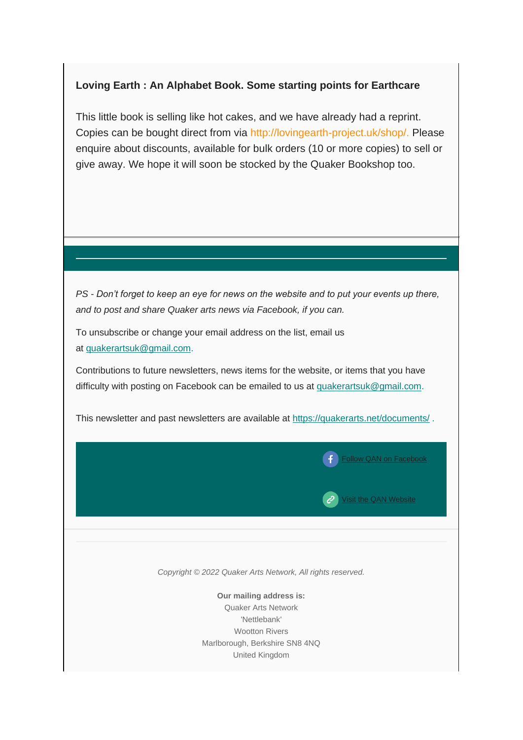#### **Loving Earth : An Alphabet Book. Some starting points for Earthcare**

This little book is selling like hot cakes, and we have already had a reprint. Copies can be bought direct from via http://lovingearth-project.uk/shop/. Please enquire about discounts, available for bulk orders (10 or more copies) to sell or give away. We hope it will soon be stocked by the Quaker Bookshop too.

*PS - Don't forget to keep an eye for news on the website and to put your events up there, and to post and share Quaker arts news via Facebook, if you can.*

To unsubscribe or change your email address on the list, email us at [quakerartsuk@gmail.com.](mailto:quakerartsuk@gmail.com)

Contributions to future newsletters, news items for the website, or items that you have difficulty with posting on Facebook can be emailed to us at [quakerartsuk@gmail.com.](mailto:quakerartsuk@gmail.com)

This newsletter and past newsletters are available at <https://quakerarts.net/documents/> .

 $\left( \begin{array}{c} \bullet \\ \bullet \end{array} \right)$  [Follow QAN on Facebook](http://www.facebook.com/)

 $\mathcal{C}$  [Visit the QAN Website](http://quakerarts.net/)

*Copyright © 2022 Quaker Arts Network, All rights reserved.*

**Our mailing address is:** Quaker Arts Network 'Nettlebank' Wootton Rivers Marlborough, Berkshire SN8 4NQ United Kingdom